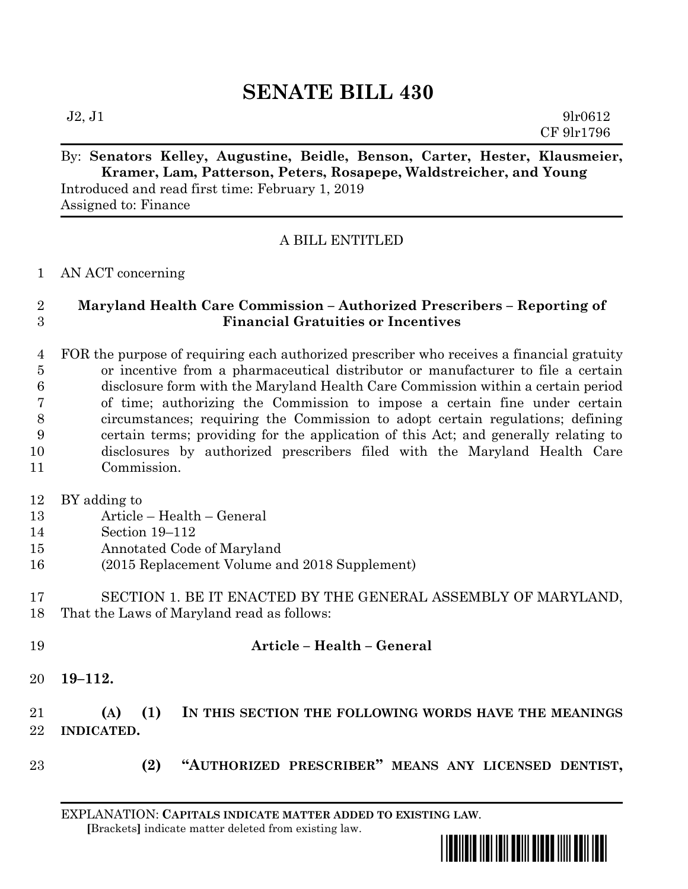# **SENATE BILL 430**

 $J2, J1$  9lr0612 CF 9lr1796

## By: **Senators Kelley, Augustine, Beidle, Benson, Carter, Hester, Klausmeier, Kramer, Lam, Patterson, Peters, Rosapepe, Waldstreicher, and Young**

Introduced and read first time: February 1, 2019 Assigned to: Finance

### A BILL ENTITLED

AN ACT concerning

#### **Maryland Health Care Commission – Authorized Prescribers – Reporting of Financial Gratuities or Incentives**

 FOR the purpose of requiring each authorized prescriber who receives a financial gratuity or incentive from a pharmaceutical distributor or manufacturer to file a certain disclosure form with the Maryland Health Care Commission within a certain period of time; authorizing the Commission to impose a certain fine under certain circumstances; requiring the Commission to adopt certain regulations; defining certain terms; providing for the application of this Act; and generally relating to disclosures by authorized prescribers filed with the Maryland Health Care Commission.

BY adding to

- Article Health General
- Section 19–112
- Annotated Code of Maryland
- (2015 Replacement Volume and 2018 Supplement)

 SECTION 1. BE IT ENACTED BY THE GENERAL ASSEMBLY OF MARYLAND, That the Laws of Maryland read as follows:

- **Article – Health – General**
	- **19–112.**

### **(A) (1) IN THIS SECTION THE FOLLOWING WORDS HAVE THE MEANINGS INDICATED.**

- 
- **(2) "AUTHORIZED PRESCRIBER" MEANS ANY LICENSED DENTIST,**

EXPLANATION: **CAPITALS INDICATE MATTER ADDED TO EXISTING LAW**.  **[**Brackets**]** indicate matter deleted from existing law.

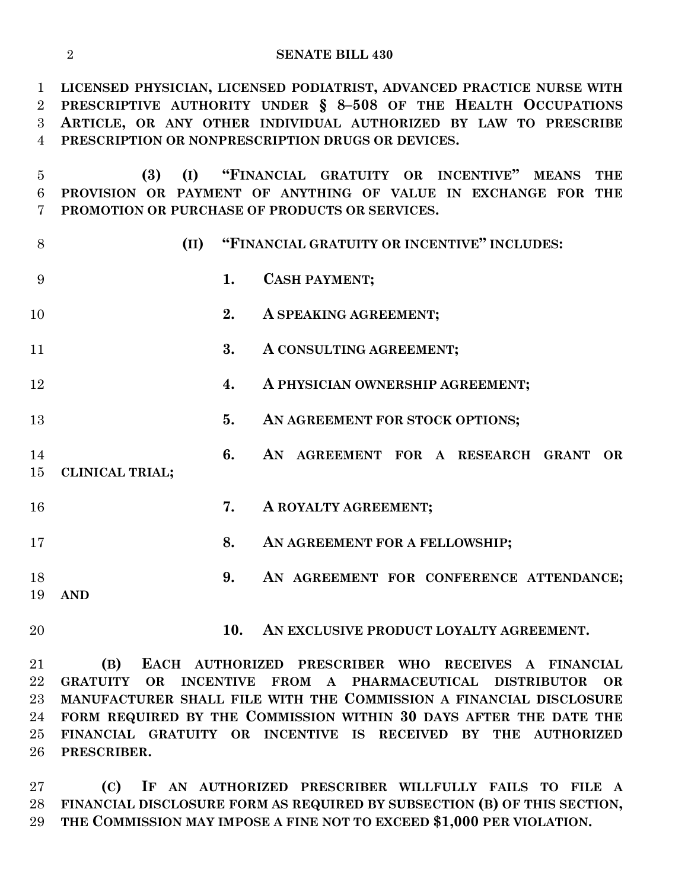| <b>SENATE BILL 430</b> |
|------------------------|
|                        |

 **LICENSED PHYSICIAN, LICENSED PODIATRIST, ADVANCED PRACTICE NURSE WITH PRESCRIPTIVE AUTHORITY UNDER § 8–508 OF THE HEALTH OCCUPATIONS ARTICLE, OR ANY OTHER INDIVIDUAL AUTHORIZED BY LAW TO PRESCRIBE PRESCRIPTION OR NONPRESCRIPTION DRUGS OR DEVICES.**

 **(3) (I) "FINANCIAL GRATUITY OR INCENTIVE" MEANS THE PROVISION OR PAYMENT OF ANYTHING OF VALUE IN EXCHANGE FOR THE PROMOTION OR PURCHASE OF PRODUCTS OR SERVICES.**

**(II) "FINANCIAL GRATUITY OR INCENTIVE" INCLUDES:**

- **1. CASH PAYMENT;**
- **2. A SPEAKING AGREEMENT;**
- **3. A CONSULTING AGREEMENT;**
- **4. A PHYSICIAN OWNERSHIP AGREEMENT;**
- **5. AN AGREEMENT FOR STOCK OPTIONS;**
- **6. AN AGREEMENT FOR A RESEARCH GRANT OR CLINICAL TRIAL;**
- **7. A ROYALTY AGREEMENT;**
- **8. AN AGREEMENT FOR A FELLOWSHIP;**
- **9. AN AGREEMENT FOR CONFERENCE ATTENDANCE; AND**
- 
- **10. AN EXCLUSIVE PRODUCT LOYALTY AGREEMENT.**

 **(B) EACH AUTHORIZED PRESCRIBER WHO RECEIVES A FINANCIAL GRATUITY OR INCENTIVE FROM A PHARMACEUTICAL DISTRIBUTOR OR MANUFACTURER SHALL FILE WITH THE COMMISSION A FINANCIAL DISCLOSURE FORM REQUIRED BY THE COMMISSION WITHIN 30 DAYS AFTER THE DATE THE FINANCIAL GRATUITY OR INCENTIVE IS RECEIVED BY THE AUTHORIZED PRESCRIBER.**

 **(C) IF AN AUTHORIZED PRESCRIBER WILLFULLY FAILS TO FILE A FINANCIAL DISCLOSURE FORM AS REQUIRED BY SUBSECTION (B) OF THIS SECTION, THE COMMISSION MAY IMPOSE A FINE NOT TO EXCEED \$1,000 PER VIOLATION.**